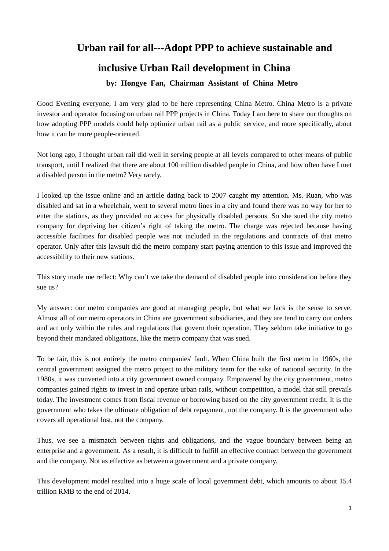## **Urban rail for all---Adopt PPP to achieve sustainable and**

## **inclusive Urban Rail development in China**

**by: Hongye Fan, Chairman Assistant of China Metro**

Good Evening everyone, I am very glad to be here representing China Metro. China Metro is a private investor and operator focusing on urban rail PPP projects in China. Today I am here to share our thoughts on how adopting PPP models could help optimize urban rail as a public service, and more specifically, about how it can be more people-oriented.

Not long ago, I thought urban rail did well in serving people at all levels compared to other means of public transport, until I realized that there are about 100 million disabled people in China, and how often have I met a disabled person in the metro? Very rarely.

I looked up the issue online and an article dating back to 2007 caught my attention. Ms. Ruan, who was disabled and sat in a wheelchair, went to several metro lines in a city and found there was no way for her to enter the stations, as they provided no access for physically disabled persons. So she sued the city metro company for depriving her citizen's right of taking the metro. The charge was rejected because having accessible facilities for disabled people was not included in the regulations and contracts of that metro operator. Only after this lawsuit did the metro company start paying attention to this issue and improved the accessibility to their new stations.

This story made me reflect: Why can't we take the demand of disabled people into consideration before they sue us?

My answer: our metro companies are good at managing people, but what we lack is the sense to serve. Almost all of our metro operators in China are government subsidiaries, and they are tend to carry out orders and act only within the rules and regulations that govern their operation. They seldom take initiative to go beyond their mandated obligations, like the metro company that was sued.

To be fair, this is not entirely the metro companies' fault. When China built the first metro in 1960s, the central government assigned the metro project to the military team for the sake of national security. In the 1980s, it was converted into a city government owned company. Empowered by the city government, metro companies gained rights to invest in and operate urban rails, without competition, a model that still prevails today. The investment comes from fiscal revenue or borrowing based on the city government credit. It is the government who takes the ultimate obligation of debt repayment, not the company. It is the government who covers all operational lost, not the company.

Thus, we see a mismatch between rights and obligations, and the vague boundary between being an enterprise and a government. As a result, it is difficult to fulfill an effective contract between the government and the company. Not as effective as between a government and a private company.

This development model resulted into a huge scale of local government debt, which amounts to about 15.4 trillion RMB to the end of 2014.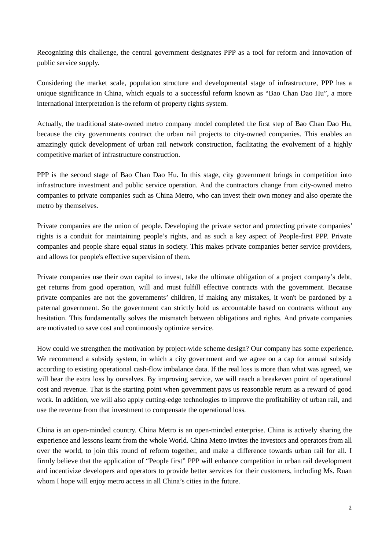Recognizing this challenge, the central government designates PPP as a tool for reform and innovation of public service supply.

Considering the market scale, population structure and developmental stage of infrastructure, PPP has a unique significance in China, which equals to a successful reform known as "Bao Chan Dao Hu", a more international interpretation is the reform of property rights system.

Actually, the traditional state-owned metro company model completed the first step of Bao Chan Dao Hu, because the city governments contract the urban rail projects to city-owned companies. This enables an amazingly quick development of urban rail network construction, facilitating the evolvement of a highly competitive market of infrastructure construction.

PPP is the second stage of Bao Chan Dao Hu. In this stage, city government brings in competition into infrastructure investment and public service operation. And the contractors change from city-owned metro companies to private companies such as China Metro, who can invest their own money and also operate the metro by themselves.

Private companies are the union of people. Developing the private sector and protecting private companies' rights is a conduit for maintaining people's rights, and as such a key aspect of People-first PPP. Private companies and people share equal status in society. This makes private companies better service providers, and allows for people's effective supervision of them.

Private companies use their own capital to invest, take the ultimate obligation of a project company's debt, get returns from good operation, will and must fulfill effective contracts with the government. Because private companies are not the governments' children, if making any mistakes, it won't be pardoned by a paternal government. So the government can strictly hold us accountable based on contracts without any hesitation. This fundamentally solves the mismatch between obligations and rights. And private companies are motivated to save cost and continuously optimize service.

How could we strengthen the motivation by project-wide scheme design? Our company has some experience. We recommend a subsidy system, in which a city government and we agree on a cap for annual subsidy according to existing operational cash-flow imbalance data. If the real loss is more than what was agreed, we will bear the extra loss by ourselves. By improving service, we will reach a breakeven point of operational cost and revenue. That is the starting point when government pays us reasonable return as a reward of good work. In addition, we will also apply cutting-edge technologies to improve the profitability of urban rail, and use the revenue from that investment to compensate the operational loss.

China is an open-minded country. China Metro is an open-minded enterprise. China is actively sharing the experience and lessons learnt from the whole World. China Metro invites the investors and operators from all over the world, to join this round of reform together, and make a difference towards urban rail for all. I firmly believe that the application of "People first" PPP will enhance competition in urban rail development and incentivize developers and operators to provide better services for their customers, including Ms. Ruan whom I hope will enjoy metro access in all China's cities in the future.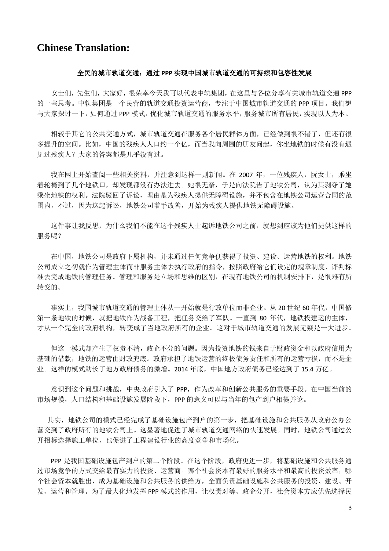## **Chinese Translation:**

## 全民的城市轨道交通:通过 **PPP** 实现中国城市轨道交通的可持续和包容性发展

女士们,先生们,大家好,很荣幸今天我可以代表中轨集团,在这里与各位分享有关城市轨道交通 PPP 的一些思考。中轨集团是一个民营的轨道交通投资运营商,专注于中国城市轨道交通的 PPP 项目。我们想 与大家探讨一下,如何通过 PPP 模式,优化城市轨道交通的服务水平,服务城市所有居民,实现以人为本。

 相较于其它的公共交通方式,城市轨道交通在服务各个居民群体方面,已经做到很不错了,但还有很 多提升的空间。比如,中国的残疾人人口约一个亿,而当我向周围的朋友问起,你坐地铁的时候有没有遇 见过残疾人?大家的答案都是几乎没有过。

我在网上开始查阅一些相关资料,并注意到这样一则新闻。在 2007 年,一位残疾人, 阮女士, 乘坐 着轮椅到了几个地铁口,却发现都没有办法进去。她很无奈,于是向法院告了地铁公司,认为其剥夺了她 乘坐地铁的权利。法院驳回了诉讼,理由是为残疾人提供无障碍设施,并不包含在地铁公司运营合同的范 围内。不过,因为这起诉讼,地铁公司着手改善,开始为残疾人提供地铁无障碍设施。

 这件事让我反思,为什么我们不能在这个残疾人士起诉地铁公司之前,就想到应该为他们提供这样的 服务呢?

 在中国,地铁公司是政府下属机构,并未通过任何竞争便获得了投资、建设、运营地铁的权利。地铁 公司成立之初就作为管理主体而非服务主体去执行政府的指令,按照政府给它们设定的规章制度、评判标 准去完成地铁的管理任务。管理和服务是立场和思维的区别,在现有地铁公司的机制安排下,是很难有所 转变的。

事实上,我国城市轨道交通的管理主体从一开始就是行政单位而非企业。从 20 世纪 60 年代,中国修 第一条地铁的时候,就把地铁作为战备工程,把任务交给了军队。一直到 80 年代,地铁投建运的主体, 才从一个完全的政府机构,转变成了当地政府所有的企业。这对于城市轨道交通的发展无疑是一大进步。

 但这一模式却产生了权责不清,政企不分的问题。因为投资地铁的钱来自于财政资金和以政府信用为 基础的借款,地铁的运营由财政兜底。政府承担了地铁运营的终极债务责任和所有的运营亏损,而不是企 业。这样的模式助长了地方政府债务的激增。2014 年底,中国地方政府债务已经达到了 15.4 万亿。

 意识到这个问题和挑战,中央政府引入了 PPP,作为改革和创新公共服务的重要手段。在中国当前的 市场规模,人口结构和基础设施发展阶段下,PPP 的意义可以与当年的包产到户相提并论。

 其实,地铁公司的模式已经完成了基础设施包产到户的第一步,把基础设施和公共服务从政府公办公 营交到了政府所有的地铁公司上。这显著地促进了城市轨道交通网络的快速发展。同时,地铁公司通过公 开招标选择施工单位,也促进了工程建设行业的高度竞争和市场化。

 PPP 是我国基础设施包产到户的第二个阶段。在这个阶段,政府更进一步,将基础设施和公共服务通 过市场竞争的方式交给最有实力的投资、运营商。哪个社会资本有最好的服务水平和最高的投资效率,哪 个社会资本就胜出,成为基础设施和公共服务的供给方,全面负责基础设施和公共服务的投资、建设、开 发、运营和管理。为了最大化地发挥 PPP 模式的作用,让权责对等、政企分开,社会资本方应优先选择民